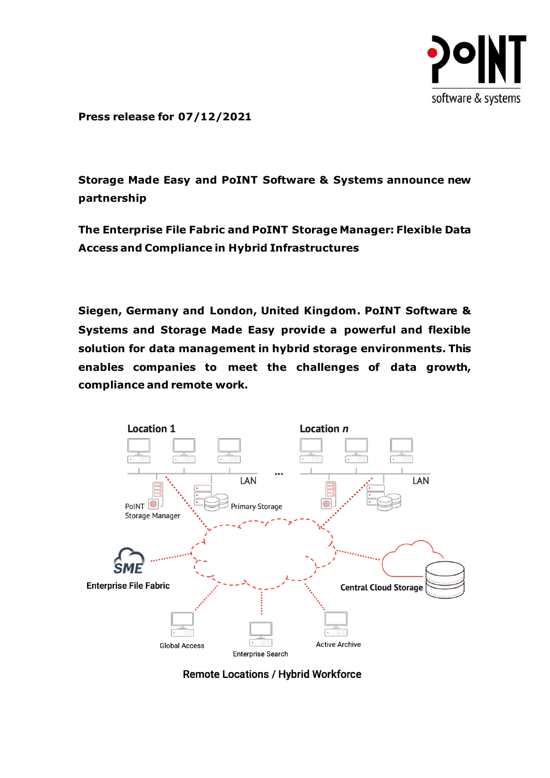

**Press release for 07/12/2021**

**Storage Made Easy and PoINT Software & Systems announce new partnership**

**The Enterprise File Fabric and PoINT Storage Manager: Flexible Data Access and Compliance in Hybrid Infrastructures**

**Siegen, Germany and London, United Kingdom. PoINT Software & Systems and Storage Made Easy provide a powerful and flexible solution for data management in hybrid storage environments. This enables companies to meet the challenges of data growth, compliance and remote work.**



**Remote Locations / Hybrid Workforce**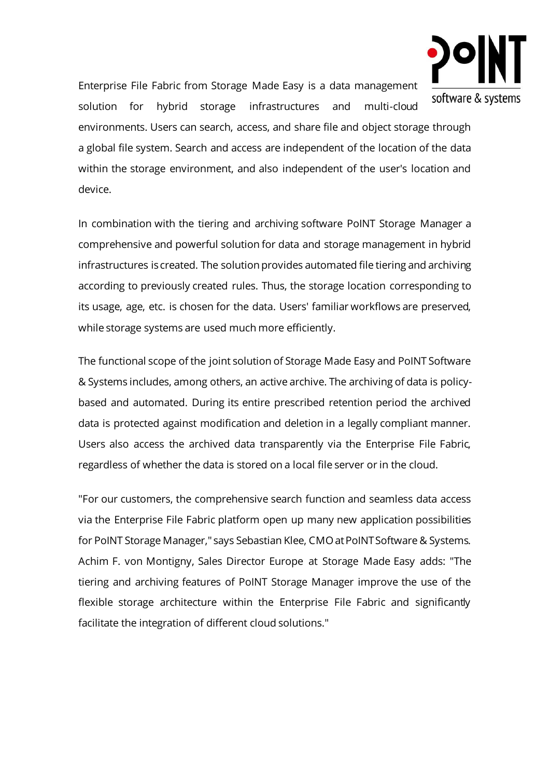

Enterprise File Fabric from Storage Made Easy is a data management solution for hybrid storage infrastructures and multi-cloud

environments. Users can search, access, and share file and object storage through a global file system. Search and access are independent of the location of the data within the storage environment, and also independent of the user's location and device.

In combination with the tiering and archiving software PoINT Storage Manager a comprehensive and powerful solution for data and storage management in hybrid infrastructures is created. The solution provides automated file tiering and archiving according to previously created rules. Thus, the storage location corresponding to its usage, age, etc. is chosen for the data. Users' familiar workflows are preserved, while storage systems are used much more efficiently.

The functional scope of the joint solution of Storage Made Easy and PoINT Software & Systems includes, among others, an active archive. The archiving of data is policybased and automated. During its entire prescribed retention period the archived data is protected against modification and deletion in a legally compliant manner. Users also access the archived data transparently via the Enterprise File Fabric, regardless of whether the data is stored on a local file server or in the cloud.

"For our customers, the comprehensive search function and seamless data access via the Enterprise File Fabric platform open up many new application possibilities for PoINT Storage Manager," says Sebastian Klee, CMO at PoINT Software & Systems. Achim F. von Montigny, Sales Director Europe at Storage Made Easy adds: "The tiering and archiving features of PoINT Storage Manager improve the use of the flexible storage architecture within the Enterprise File Fabric and significantly facilitate the integration of different cloud solutions."